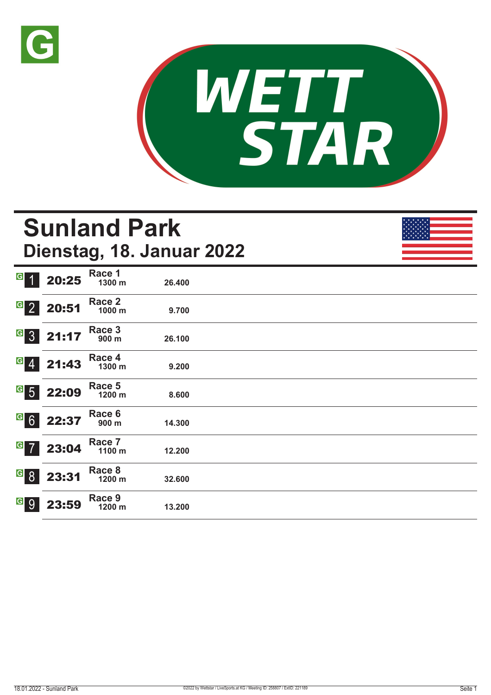



# **Sunland Park Dienstag, 18. Januar 2022**

| G<br>-1                          | 20:25 | Race 1<br>1300 m | 26.400 |  |
|----------------------------------|-------|------------------|--------|--|
| $\overline{G}$ 2                 | 20:51 | Race 2<br>1000 m | 9.700  |  |
| $G_{3}$                          | 21:17 | Race 3<br>900 m  | 26.100 |  |
| $  \cdot  $                      | 21:43 | Race 4<br>1300 m | 9.200  |  |
| $\overline{G}$<br>5 <sup>1</sup> | 22:09 | Race 5<br>1200 m | 8.600  |  |
| $G$ 6                            | 22:37 | Race 6<br>900 m  | 14.300 |  |
| $\boxed{G}$<br>$\overline{7}$    | 23:04 | Race 7<br>1100 m | 12.200 |  |
| $\vert G \vert$<br>8             | 23:31 | Race 8<br>1200 m | 32.600 |  |
| $\vert G \vert$<br>9             | 23:59 | Race 9<br>1200 m | 13.200 |  |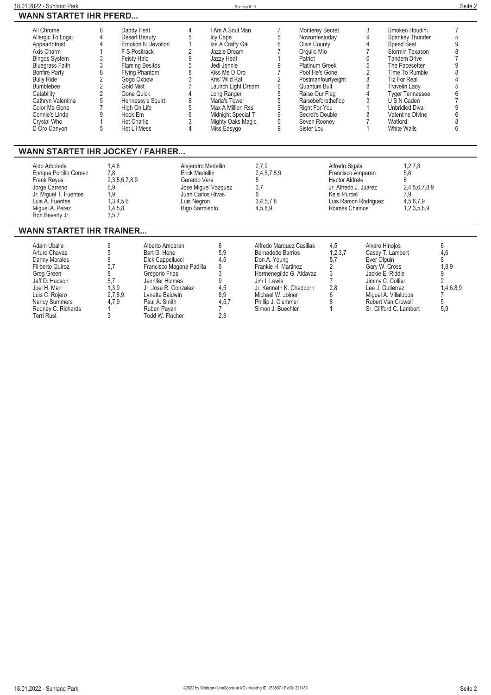| 18.01.2022 - Sunland Park     |                           | Rennen#11          |                        |                         | Seite 2 |
|-------------------------------|---------------------------|--------------------|------------------------|-------------------------|---------|
| <b>WANN STARTET IHR PFERD</b> |                           |                    |                        |                         |         |
| All Chrome                    | Daddy Heat                | I Am A Soul Man    | <b>Monterey Secret</b> | Smoken Houdini          |         |
| Allergic To Logic             | Desert Beauty             | Icy Cape           | Noworriestoday         | Spankey Thunder         |         |
| Appeartotrust                 | <b>Emotion N Devotion</b> | Ize A Crafty Gal   | Olive County           | Speed Seal              |         |
| Axis Charm                    | F S Positrack             | Jazzie Dream       | Orgullo Mio            | Stormin Texason         |         |
| <b>Bingos System</b>          | Feisty Halo               | Jazzy Heat         | Patriot                | <b>Tandem Drive</b>     |         |
| <b>Bluegrass Faith</b>        | <b>Flaming Besitos</b>    | Jedi Jennie        | <b>Platinum Greek</b>  | The Pacesetter          |         |
| <b>Bonfire Party</b>          | <b>Flying Phantom</b>     | Kiss Me D Oro      | Poof He's Gone         | Time To Rumble          |         |
| <b>Bully Ride</b>             | Gogo Oxbow                | Kris' Wild Kat     | Postmanfourtyeight     | <b>Tiz For Real</b>     |         |
| <b>Bumblebee</b>              | Gold Mist                 | Launch Light Dream | Quantum Bull           | Travelin Lady           |         |
| Catability                    | Gone Quick                | Long Ranger        | Raise Our Flag         | <b>Tyger Tennessee</b>  |         |
| Cathryn Valentina             | Hennessy's Squirt         | Maria's Tower      | Raisebeforetheflop     | U S N Caden             |         |
| Color Me Gone                 | High On Life              | Max A Million Rss  | Right For You          | <b>Unbridled Diva</b>   |         |
| Connie's Linda                | Hook Em                   | Midnight Special T | Secret's Double        | <b>Valentine Divine</b> |         |
| Crystal Who                   | <b>Hot Charlie</b>        | Mighty Oaks Magic  | Seven Rooney           | Watford                 |         |
| D Oro Canyon                  | Hot Lil Mess              | Miss Easygo        | Sister Lou             | White Walls             |         |

#### **WANN STARTET IHR JOCKEY / FAHRER...**

| Aldo Arboleda<br>Enrique Portillo Gomez<br><b>Frank Reves</b><br>Jorge Carreno<br>Jr. Miquel T. Fuentes<br>Luis A. Fuentes | ، 4.8<br>7.8<br>2,3,5,6,7,8,9<br>6.9<br>1.9<br>1,3,4,5,6 | Alejandro Medellin<br>Erick Medellin<br>Gerardo Vera<br>Jose Miguel Vazquez<br>Juan Carlos Rivas<br>Luis Negron | 2.7.9<br>2,4,5,7,8,9<br>3,4,5,7,8 | Alfredo Sigala<br>Francisco Amparan<br><b>Hector Aldrete</b><br>Jr. Alfredo J. Juarez<br>Kelsi Purcell<br>Luis Ramon Rodriguez | 1,2,7,8<br>5,6<br>2.4.5.6.7.8.9<br>7.9<br>4,5,6,7,9 |  |
|----------------------------------------------------------------------------------------------------------------------------|----------------------------------------------------------|-----------------------------------------------------------------------------------------------------------------|-----------------------------------|--------------------------------------------------------------------------------------------------------------------------------|-----------------------------------------------------|--|
| Miquel A. Perez<br>Ron Beverly Jr.                                                                                         | 1,4,5,8<br>3,5,7                                         | Rigo Sarmiento                                                                                                  | 4.5.8.9                           | Roimes Chirinos                                                                                                                | 1,2,3,5,8,9                                         |  |

#### **WANN STARTET IHR TRAINER...**

| Adam Uballe          |         | Alberto Amparan          |       | Alfredo Marquez Casillas  | 4,5     | Alvaro Hinoios          |           |
|----------------------|---------|--------------------------|-------|---------------------------|---------|-------------------------|-----------|
| Arturo Chavez        |         | Bart G. Hone             | 5.9   | <b>Bernadette Barrios</b> | 1,2,3,7 | Casey T. Lambert        | 4.6       |
| Danny Morales        |         | Dick Cappellucci         | 4.5   | Don A. Young              | 5.7     | Ever Olauin             |           |
| Filiberto Quiroz     | 5,7     | Francisco Magana Padilla | 6     | Frankie H. Martinez       |         | Gary W. Cross           | 1,8,9     |
| Grea Green           |         | Gregorio Frias           |       | Hermenegildo G. Aldavaz   |         | Jackie E. Riddle        |           |
| Jeff D. Hudson       | 5.7     | Jennifer Holmes          |       | Jim I. Lewis              |         | Jimmy C. Collier        |           |
| Joel H. Marr         | 1,3,9   | Jr. Jose R. Gonzalez     | 4,5   | Jr. Kenneth K. Chadborn   | 2.8     | Lee J. Gutierrez        | 1,4,6,8,9 |
| Luis C. Rojero       | 2,7,8,9 | Lynette Baldwin          | 8.9   | Michael W. Joiner         |         | Miquel A. Villalobos    |           |
| <b>Nancy Summers</b> | 4.7.9   | Paul A. Smith            | 4,5,7 | Phillip J. Clemmer        |         | Robert Van Crowell      |           |
| Rodney C. Richards   |         | Ruben Pavan              |       | Simon J. Buechler         |         | Sr. Clifford C. Lambert | 5,9       |
| Terri Rust           |         | Todd W. Fincher          | 2.3   |                           |         |                         |           |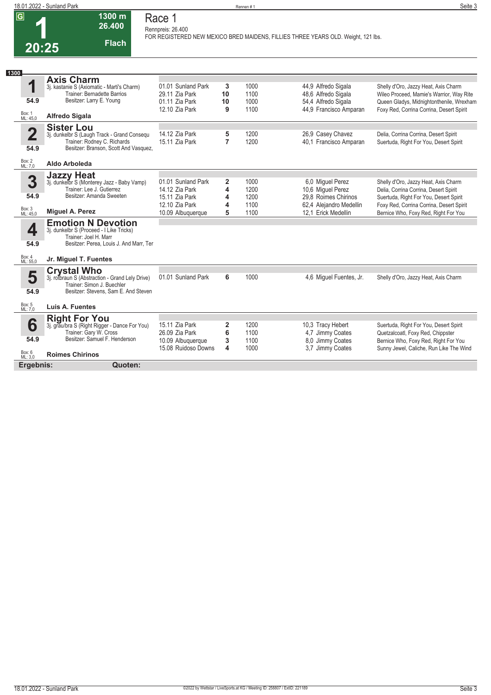| 18.01.2022 - Sunland Park |         | $\cdot$ $\sim$<br>Seite 3 |
|---------------------------|---------|---------------------------|
|                           | Rennen# |                           |

| 20:25 |  |  |
|-------|--|--|

#### **Race 1 Rennpreis: 26.400**

**1300 m 26.400** 

**Flach**

**FOR REGISTERED NEW MEXICO BRED MAIDENS, FILLIES THREE YEARS OLD. Weight, 121 lbs.** 

| 1300                                                                                                                  |                                                                                                                       |                                                                              |                               |                              |                                                                                             |                                                                                                                                                                          |
|-----------------------------------------------------------------------------------------------------------------------|-----------------------------------------------------------------------------------------------------------------------|------------------------------------------------------------------------------|-------------------------------|------------------------------|---------------------------------------------------------------------------------------------|--------------------------------------------------------------------------------------------------------------------------------------------------------------------------|
| <b>Axis Charm</b><br>q<br>54.9<br>Box: 1                                                                              | 3j. kastanie S (Axiomatic - Marti's Charm)<br><b>Trainer: Bernadette Barrios</b><br>Besitzer: Larry E. Young          | 01.01 Sunland Park<br>29.11 Zia Park<br>01.11 Zia Park<br>12.10 Zia Park     | 3<br>10<br>10<br>9            | 1000<br>1100<br>1000<br>1100 | 44,9 Alfredo Sigala<br>48,6 Alfredo Sigala<br>54,4 Alfredo Sigala<br>44.9 Francisco Amparan | Shelly d'Oro, Jazzy Heat, Axis Charm<br>Wileo Proceed, Mamie's Warrior, Way Rite<br>Queen Gladys, Midnightonthenile, Wrexham<br>Foxy Red, Corrina Corrina, Desert Spirit |
| <b>Alfredo Sigala</b><br>ML: 45.0                                                                                     |                                                                                                                       |                                                                              |                               |                              |                                                                                             |                                                                                                                                                                          |
| <b>Sister Lou</b><br>$\overline{\mathbf{2}}$<br>54.9                                                                  | 3j. dunkelbr S (Laugh Track - Grand Consequ<br>Trainer: Rodney C. Richards<br>Besitzer: Branson, Scott And Vasquez,   | 14.12 Zia Park<br>15.11 Zia Park                                             | 5<br>7                        | 1200<br>1200                 | 26,9 Casey Chavez<br>40.1 Francisco Amparan                                                 | Delia, Corrina Corrina, Desert Spirit<br>Suertuda, Right For You, Desert Spirit                                                                                          |
| Box: 2<br>ML: 7,0<br>Aldo Arboleda                                                                                    |                                                                                                                       |                                                                              |                               |                              |                                                                                             |                                                                                                                                                                          |
| <b>Jazzy Heat</b><br>3<br>54.9                                                                                        | 3j. dunkelbr S (Monterey Jazz - Baby Vamp)<br>Trainer: Lee J. Gutierrez<br>Besitzer: Amanda Sweeten                   | 01.01 Sunland Park<br>14.12 Zia Park<br>15.11 Zia Park<br>12.10 Zia Park     | 2<br>4<br>4<br>4              | 1000<br>1200<br>1200<br>1100 | 6,0 Miguel Perez<br>10,6 Miguel Perez<br>29.8 Roimes Chirinos<br>62,4 Alejandro Medellin    | Shelly d'Oro, Jazzy Heat, Axis Charm<br>Delia, Corrina Corrina, Desert Spirit<br>Suertuda, Right For You, Desert Spirit<br>Foxy Red, Corrina Corrina, Desert Spirit      |
| Box: 3<br>ML: 45,0<br>Miguel A. Perez                                                                                 |                                                                                                                       | 10.09 Albuquerque                                                            | 5                             | 1100                         | 12.1 Erick Medellin                                                                         | Bernice Who, Foxy Red, Right For You                                                                                                                                     |
| <b>Emotion N Devotion</b><br>4<br>3j. dunkelbr S (Proceed - I Like Tricks)<br>Trainer: Joel H. Marr<br>54.9<br>Box: 4 | Besitzer: Perea, Louis J. And Marr, Ter                                                                               |                                                                              |                               |                              |                                                                                             |                                                                                                                                                                          |
| Jr. Miguel T. Fuentes<br>ML: 55,0                                                                                     |                                                                                                                       |                                                                              |                               |                              |                                                                                             |                                                                                                                                                                          |
| <b>Crystal Who</b><br>5<br>54.9                                                                                       | 3j. rotbraun S (Abstraction - Grand Lely Drive)<br>Trainer: Simon J. Buechler<br>Besitzer: Stevens, Sam E. And Steven | 01.01 Sunland Park                                                           | 6                             | 1000                         | 4,6 Miguel Fuentes, Jr.                                                                     | Shelly d'Oro, Jazzy Heat, Axis Charm                                                                                                                                     |
| Box: 5<br>ML: 7,0<br>Luis A. Fuentes                                                                                  |                                                                                                                       |                                                                              |                               |                              |                                                                                             |                                                                                                                                                                          |
| <b>Right For You</b><br>6<br>Trainer: Gary W. Cross<br>54.9<br>Box: 6<br>ML: 3,0<br><b>Roimes Chirinos</b>            | 3j. grau/bra S (Right Rigger - Dance For You)<br>Besitzer: Samuel F. Henderson                                        | 15.11 Zia Park<br>26.09 Zia Park<br>10.09 Albuquerque<br>15.08 Ruidoso Downs | $\overline{2}$<br>6<br>3<br>4 | 1200<br>1100<br>1100<br>1000 | 10,3 Tracy Hebert<br>4.7 Jimmy Coates<br>8,0 Jimmy Coates<br>3,7 Jimmy Coates               | Suertuda, Right For You, Desert Spirit<br>Quetzalcoatl, Foxy Red, Chippster<br>Bernice Who, Foxy Red, Right For You<br>Sunny Jewel, Caliche, Run Like The Wind           |
| Ergebnis:                                                                                                             | Quoten:                                                                                                               |                                                                              |                               |                              |                                                                                             |                                                                                                                                                                          |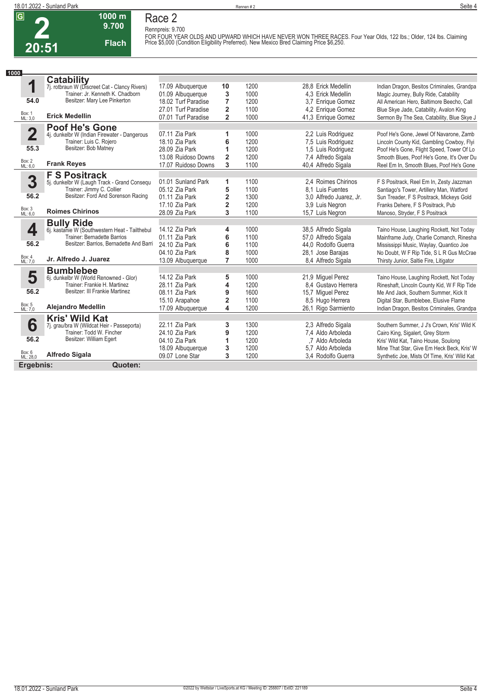## **Race 2 Rennpreis: 9.700**

**1000 m 9.700** 

**Flach**

FOR FOUR YEAR OLDS AND UPWARD WHICH HAVE NEVER WON THREE RACES. Four Year Olds, 122 lbs.; Older, 124 lbs. Claiming<br>Price \$5,000 (Condition Eligibility Preferred). New Mexico Bred Claiming Price \$6,250.

| 1000                    |                                                |                     |                         |      |                         |                                              |
|-------------------------|------------------------------------------------|---------------------|-------------------------|------|-------------------------|----------------------------------------------|
|                         | <b>Catability</b>                              |                     |                         |      |                         |                                              |
| 1                       | 7j. rotbraun W (Discreet Cat - Clancy Rivers)  | 17.09 Albuquerque   | 10                      | 1200 | 28.8 Erick Medellin     | Indian Dragon, Besitos Criminales, Grandpa   |
|                         | Trainer: Jr. Kenneth K. Chadborn               | 01.09 Albuquerque   | 3                       | 1000 | 4.3 Erick Medellin      | Magic Journey, Bully Ride, Catability        |
| 54.0                    | Besitzer: Mary Lee Pinkerton                   | 18.02 Turf Paradise | $\overline{7}$          | 1200 | 3.7 Enrique Gomez       | All American Hero, Baltimore Beecho, Call    |
|                         |                                                | 27.01 Turf Paradise | $\overline{2}$          | 1100 | 4.2 Enrique Gomez       | Blue Skye Jade, Catability, Avalon King      |
| Box: 1<br>ML: 3,0       | <b>Erick Medellin</b>                          | 07.01 Turf Paradise | $\overline{\mathbf{2}}$ | 1000 | 41,3 Enrique Gomez      | Sermon By The Sea, Catability, Blue Skye J   |
|                         | <b>Poof He's Gone</b>                          |                     |                         |      |                         |                                              |
| $\overline{\mathbf{2}}$ | 4j. dunkelbr W (Indian Firewater - Dangerous   | 07.11 Zia Park      | 1                       | 1000 | 2.2 Luis Rodriguez      | Poof He's Gone, Jewel Of Navarone, Zamb      |
|                         | Trainer: Luis C. Rojero                        | 18.10 Zia Park      | 6                       | 1200 | 7.5 Luis Rodriguez      | Lincoln County Kid, Gambling Cowboy, Flyi    |
| 55.3                    | Besitzer: Bob Matney                           | 28.09 Zia Park      | 1                       | 1200 | 1.5 Luis Rodriguez      | Poof He's Gone, Flight Speed, Tower Of Lo    |
|                         |                                                | 13.08 Ruidoso Downs | $\overline{2}$          | 1200 | 7,4 Alfredo Sigala      | Smooth Blues, Poof He's Gone, It's Over Du   |
| Box: 2<br>ML: 6,0       | <b>Frank Reyes</b>                             | 17.07 Ruidoso Downs | 3                       | 1100 | 40,4 Alfredo Sigala     | Reel Em In. Smooth Blues, Poof He's Gone     |
|                         | <b>F S Positrack</b>                           |                     |                         |      |                         |                                              |
| 3                       | 5j. dunkelbr W (Laugh Track - Grand Consequ    | 01.01 Sunland Park  | 1                       | 1100 | 2.4 Roimes Chirinos     | F S Positrack, Reel Em In, Zesty Jazzman     |
|                         | Trainer: Jimmy C. Collier                      | 05.12 Zia Park      | 5                       | 1100 | 8.1 Luis Fuentes        | Santiago's Tower, Artillery Man, Watford     |
| 56.2                    | Besitzer: Ford And Sorenson Racing             | 01.11 Zia Park      | $\overline{\mathbf{2}}$ | 1300 | 3.0 Alfredo Juarez, Jr. | Sun Treader, F S Positrack, Mickeys Gold     |
|                         |                                                | 17.10 Zia Park      | $\overline{\mathbf{2}}$ | 1200 | 3.9 Luis Negron         | Franks Dehere, F S Positrack, Pub            |
| Box: 3<br>ML: 6,0       | <b>Roimes Chirinos</b>                         | 28.09 Zia Park      | 3                       | 1100 | 15,7 Luis Negron        | Manoso, Stryder, F S Positrack               |
|                         | <b>Bully Ride</b>                              |                     |                         |      |                         |                                              |
| 4                       | 6j. kastanie W (Southwestern Heat - Tailthebul | 14.12 Zia Park      | 4                       | 1000 | 38,5 Alfredo Sigala     | Taino House, Laughing Rockett, Not Today     |
|                         | Trainer: Bernadette Barrios                    | 01.11 Zia Park      | 6                       | 1100 | 57,0 Alfredo Sigala     | Mainframe Judy, Charlie Comanch, Rinesha     |
| 56.2                    | Besitzer: Barrios, Bernadette And Barri        | 24.10 Zia Park      | 6                       | 1100 | 44.0 Rodolfo Guerra     | Mississippi Music, Waylay, Quantico Joe      |
|                         |                                                | 04.10 Zia Park      | 8                       | 1000 | 28.1 Jose Barajas       | No Doubt, W F Rip Tide, S L R Gus McCrae     |
| Box: 4<br>ML: 7.0       | Jr. Alfredo J. Juarez                          | 13.09 Albuquerque   | $\overline{7}$          | 1000 | 8,4 Alfredo Sigala      | Thirsty Junior, Saltie Fire, Litigator       |
|                         | <b>Bumblebee</b>                               |                     |                         |      |                         |                                              |
| 5                       | 6j. dunkelbr W (World Renowned - Glor)         | 14.12 Zia Park      | 5                       | 1000 | 21,9 Miguel Perez       | Taino House, Laughing Rockett, Not Today     |
|                         | Trainer: Frankie H. Martinez                   | 28.11 Zia Park      | 4                       | 1200 | 8.4 Gustavo Herrera     | Rineshaft, Lincoln County Kid, W F Rip Tide  |
| 56.2                    | Besitzer: III Frankie Martinez                 | 08.11 Zia Park      | 9                       | 1600 | 15,7 Miquel Perez       | Me And Jack, Southern Summer, Kick It        |
|                         |                                                | 15.10 Arapahoe      | $\overline{\mathbf{2}}$ | 1100 | 8.5 Hugo Herrera        | Digital Star, Bumblebee, Elusive Flame       |
| Box: 5<br>ML: 7,0       | <b>Alejandro Medellin</b>                      | 17.09 Albuquerque   | 4                       | 1200 | 26,1 Rigo Sarmiento     | Indian Dragon, Besitos Criminales, Grandpa   |
|                         | <b>Kris' Wild Kat</b>                          |                     |                         |      |                         |                                              |
| 6                       | 7j. grau/bra W (Wildcat Heir - Passeporta)     | 22.11 Zia Park      | 3                       | 1300 | 2.3 Alfredo Sigala      | Southern Summer, J J's Crown, Kris' Wild K   |
|                         | Trainer: Todd W. Fincher                       | 24.10 Zia Park      | 9                       | 1200 | 7,4 Aldo Arboleda       | Cairo King, Sigalert, Grey Storm             |
| 56.2                    | Besitzer: William Egert                        | 04.10 Zia Park      | 1                       | 1200 | .7 Aldo Arboleda        | Kris' Wild Kat, Taino House, Soulong         |
|                         |                                                | 18.09 Albuquerque   | 3                       | 1200 | 5.7 Aldo Arboleda       | Mine That Star, Give Em Heck Beck, Kris' W   |
| Box: 6<br>ML: 28,0      | <b>Alfredo Sigala</b>                          | 09.07 Lone Star     | 3                       | 1200 | 3,4 Rodolfo Guerra      | Synthetic Joe, Mists Of Time, Kris' Wild Kat |
| Ergebnis:               | Quoten:                                        |                     |                         |      |                         |                                              |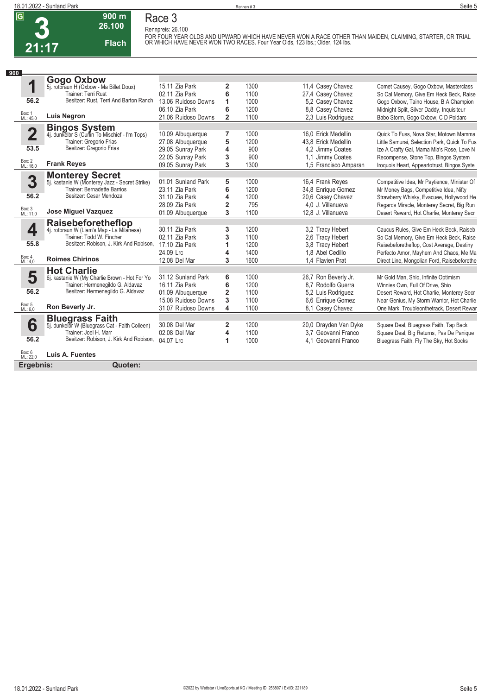**Race 3 Rennpreis: 26.100**

**3 21:17**

#### **900 m 26.100 Flach**

FOR FOUR YEAR OLDS AND UPWARD WHICH HAVE NEVER WON A RACE OTHER THAN MAIDEN, CLAIMING, STARTER, OR TRIAL<br>OR WHICH HAVE NEVER WON TWO RACES. Four Year Olds, 123 lbs.; Older, 124 lbs.

| 900                     |                                                                          |                     |                         |      |                       |                                              |
|-------------------------|--------------------------------------------------------------------------|---------------------|-------------------------|------|-----------------------|----------------------------------------------|
|                         | <b>Gogo Oxbow</b>                                                        |                     |                         |      |                       |                                              |
|                         | 5j. rotbraun H (Oxbow - Ma Billet Doux)                                  | 15.11 Zia Park      | 2                       | 1300 | 11,4 Casey Chavez     | Comet Causey, Gogo Oxbow, Masterclass        |
|                         | Trainer: Terri Rust                                                      | 02.11 Zia Park      | 6                       | 1100 | 27,4 Casey Chavez     | So Cal Memory, Give Em Heck Beck, Raise      |
| 56.2                    | Besitzer: Rust. Terri And Barton Ranch                                   | 13.06 Ruidoso Downs | 1                       | 1000 | 5.2 Casey Chavez      | Gogo Oxbow, Taino House, B A Champion        |
|                         |                                                                          | 06.10 Zia Park      | 6                       | 1200 | 8.8 Casev Chavez      | Midnight Split, Silver Daddy, Inquisiteur    |
| Box: 1<br>ML: 45,0      | <b>Luis Negron</b>                                                       | 21.06 Ruidoso Downs | $\overline{\mathbf{2}}$ | 1100 | 2.3 Luis Rodriguez    | Babo Storm, Gogo Oxbow, C D Poldarc          |
|                         |                                                                          |                     |                         |      |                       |                                              |
| $\overline{\mathbf{2}}$ | <b>Bingos System</b><br>4j. dunkelbr S (Curlin To Mischief - I'm Tops)   | 10.09 Albuquerque   | 7                       | 1000 | 16.0 Erick Medellin   | Quick To Fuss, Nova Star, Motown Mamma       |
|                         | Trainer: Gregorio Frias                                                  | 27.08 Albuquerque   | 5                       | 1200 | 43.8 Erick Medellin   | Little Samurai, Selection Park, Quick To Fus |
| 53.5                    | Besitzer: Gregorio Frias                                                 | 29.05 Sunray Park   | 4                       | 900  | 4.2 Jimmy Coates      | Ize A Crafty Gal, Mama Mia's Rose, Love N    |
|                         |                                                                          | 22.05 Sunray Park   | 3                       | 900  | 1,1 Jimmy Coates      | Recompense, Stone Top, Bingos System         |
| Box: 2<br>ML: 16,0      | <b>Frank Reyes</b>                                                       | 09.05 Sunray Park   | 3                       | 1300 | 1.5 Francisco Amparan | Iroquois Heart, Appeartotrust, Bingos Syste  |
|                         |                                                                          |                     |                         |      |                       |                                              |
| 3                       | <b>Monterey Secret</b><br>5j. kastanie W (Monterey Jazz - Secret Strike) | 01.01 Sunland Park  | 5                       | 1000 | 16,4 Frank Reyes      | Competitive Idea, Mr Paytience, Minister Of  |
|                         | <b>Trainer: Bernadette Barrios</b>                                       | 23.11 Zia Park      | 6                       | 1200 | 34,8 Enrique Gomez    | Mr Money Bags, Competitive Idea, Nifty       |
| 56.2                    | Besitzer: Cesar Mendoza                                                  | 31.10 Zia Park      | 4                       | 1200 | 20,6 Casey Chavez     | Strawberry Whisky, Evacuee, Hollywood He     |
|                         |                                                                          | 28.09 Zia Park      | $\overline{2}$          | 795  | 4,0 J. Villanueva     | Regards Miracle, Monterey Secret, Big Run    |
| Box: 3<br>ML: 11,0      | <b>Jose Miguel Vazquez</b>                                               | 01.09 Albuquerque   | 3                       | 1100 | 12.8 J. Villanueva    | Desert Reward, Hot Charlie, Monterey Secr    |
|                         | Raisebeforetheflop                                                       |                     |                         |      |                       |                                              |
| 4                       | 4j. rotbraun W (Liam's Map - La Milanesa)                                | 30.11 Zia Park      | 3                       | 1200 | 3,2 Tracy Hebert      | Caucus Rules, Give Em Heck Beck, Raiseb      |
|                         | Trainer: Todd W. Fincher                                                 | 02.11 Zia Park      | 3                       | 1100 | 2.6 Tracy Hebert      | So Cal Memory, Give Em Heck Beck, Raise      |
| 55.8                    | Besitzer: Robison, J. Kirk And Robison,                                  | 17.10 Zia Park      | 1                       | 1200 | 3.8 Tracy Hebert      | Raisebeforetheflop, Cost Average, Destiny    |
| Box: 4                  |                                                                          | 24.09 Lrc           | 4                       | 1400 | 1.8 Abel Cedillo      | Perfecto Amor, Mayhem And Chaos, Me Ma       |
| ML: 4.0                 | <b>Roimes Chirinos</b>                                                   | 12.08 Del Mar       | 3                       | 1600 | 1.4 Flavien Prat      | Direct Line, Mongolian Ford, Raisebeforethe  |
|                         | <b>Hot Charlie</b>                                                       |                     |                         |      |                       |                                              |
| 5                       | 6j. kastanie W (My Charlie Brown - Hot For Yo                            | 31.12 Sunland Park  | 6                       | 1000 | 26,7 Ron Beverly Jr.  | Mr Gold Man, Shio, Infinite Optimism         |
|                         | Trainer: Hermenegildo G. Aldavaz                                         | 16.11 Zia Park      | 6                       | 1200 | 8.7 Rodolfo Guerra    | Winnies Own, Full Of Drive, Shio             |
| 56.2                    | Besitzer: Hermenegildo G. Aldavaz                                        | 01.09 Albuquerque   | $\overline{2}$          | 1100 | 5.2 Luis Rodriguez    | Desert Reward, Hot Charlie, Monterey Secr    |
|                         |                                                                          | 15.08 Ruidoso Downs | 3                       | 1100 | 6.6 Enrique Gomez     | Near Genius, My Storm Warrior, Hot Charlie   |
| Box: 5<br>ML: 6,0       | Ron Beverly Jr.                                                          | 31.07 Ruidoso Downs | 4                       | 1100 | 8,1 Casey Chavez      | One Mark, Troubleonthetrack, Desert Rewar    |
|                         | <b>Bluegrass Faith</b><br>5j. dunkelbr W (Bluegrass Cat - Faith Colleen) |                     |                         |      |                       |                                              |
| 6                       |                                                                          | 30.08 Del Mar       | $\overline{\mathbf{2}}$ | 1200 | 20,0 Drayden Van Dyke | Square Deal, Bluegrass Faith, Tap Back       |
|                         | Trainer: Joel H. Marr<br>Besitzer: Robison, J. Kirk And Robison,         | 02.08 Del Mar       | 4                       | 1100 | 3.7 Geovanni Franco   | Square Deal, Big Returns, Pas De Panique     |
| 56.2                    |                                                                          | 04.07 Lrc           | 1                       | 1000 | 4.1 Geovanni Franco   | Bluegrass Faith, Fly The Sky, Hot Socks      |
| Box: 6<br>ML: 22,0      | Luis A. Fuentes                                                          |                     |                         |      |                       |                                              |
| Ergebnis:               | Quoten:                                                                  |                     |                         |      |                       |                                              |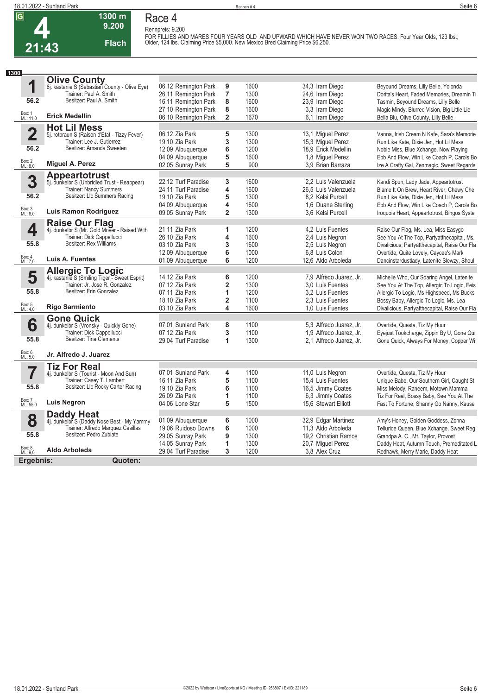### **Race 4 Rennpreis: 9.200**

**Flach**

**1300 m 9.200** 

FOR FILLIES AND MARES FOUR YEARS OLD AND UPWARD WHICH HAVE NEVER WON TWO RACES. Four Year Olds, 123 lbs.;<br>Older, 124 lbs. Claiming Price \$5,000. New Mexico Bred Claiming Price \$6,250.

| 1300                    |                                                                |                      |                         |      |                         |                                               |
|-------------------------|----------------------------------------------------------------|----------------------|-------------------------|------|-------------------------|-----------------------------------------------|
|                         | <b>Olive County</b>                                            |                      |                         |      |                         |                                               |
| 1                       | 6j. kastanie S (Sebastian County - Olive Eye)                  | 06.12 Remington Park | 9                       | 1600 | 34,3 Iram Diego         | Beyound Dreams, Lilly Belle, Yolonda          |
|                         | Trainer: Paul A. Smith                                         | 26.11 Remington Park | $\overline{\mathbf{7}}$ | 1300 | 24,6 Iram Diego         | Dorita's Heart, Faded Memories, Dreamin Ti    |
| 56.2                    | Besitzer: Paul A. Smith                                        | 16.11 Remington Park | 8                       | 1600 | 23,9 Iram Diego         | Tasmin, Beyound Dreams, Lilly Belle           |
|                         |                                                                | 27.10 Remington Park | 8                       | 1600 | 3.3 Iram Diego          | Magic Mindy, Blurred Vision, Big Little Lie   |
| Box: 1<br>ML: 11,0      | <b>Erick Medellin</b>                                          | 06.10 Remington Park | $\overline{\mathbf{2}}$ | 1670 | 6,1 Iram Diego          | Bella Blu, Olive County, Lilly Belle          |
|                         | <b>Hot Lil Mess</b>                                            |                      |                         |      |                         |                                               |
| $\overline{\mathbf{2}}$ | 5j. rotbraun S (Raison d'Etat - Tizzy Fever)                   | 06.12 Zia Park       | 5                       | 1300 | 13,1 Miquel Perez       | Vanna, Irish Cream N Kafe, Sara's Memorie     |
|                         | Trainer: Lee J. Gutierrez                                      | 19.10 Zia Park       | 3                       | 1300 | 15,3 Miguel Perez       | Run Like Kate, Dixie Jen, Hot Lil Mess        |
| 56.2                    | Besitzer: Amanda Sweeten                                       | 12.09 Albuquerque    | 6                       | 1200 | 18.9 Erick Medellin     | Noble Miss, Blue Xchange, Now Playing         |
|                         |                                                                | 04.09 Albuquerque    | 5                       | 1600 | 1.8 Miquel Perez        | Ebb And Flow, Win Like Coach P, Carols Bo     |
| Box: 2<br>ML: 8,0       | Miguel A. Perez                                                | 02.05 Sunray Park    | 5                       | 900  | 3.9 Brian Barraza       | Ize A Crafty Gal, Zenmagic, Sweet Regards     |
|                         | <b>Appeartotrust</b>                                           |                      |                         |      |                         |                                               |
| 3                       | 5j. dunkelbr S (Unbridled Trust - Reappear)                    | 22.12 Turf Paradise  | 3                       | 1600 | 2.2 Luis Valenzuela     | Kandi Spun, Lady Jade, Appeartotrust          |
|                         | <b>Trainer: Nancy Summers</b>                                  | 24.11 Turf Paradise  | 4                       | 1600 | 26,5 Luis Valenzuela    | Blame It On Brew, Heart River, Chewy Che      |
| 56.2                    | Besitzer: Llc Summers Racing                                   | 19.10 Zia Park       | 5                       | 1300 | 8.2 Kelsi Purcell       | Run Like Kate, Dixie Jen, Hot Lil Mess        |
|                         |                                                                | 04.09 Albuquerque    | 4                       | 1600 | 1.6 Duane Sterling      | Ebb And Flow, Win Like Coach P, Carols Bo     |
| Box: 3<br>ML: 6,0       | Luis Ramon Rodriguez                                           | 09.05 Sunray Park    | $\overline{2}$          | 1300 | 3.6 Kelsi Purcell       | Iroquois Heart, Appeartotrust, Bingos Syste   |
|                         |                                                                |                      |                         |      |                         |                                               |
| 4                       | Raise Our Flag<br>4j. dunkelbr S (Mr. Gold Mover - Raised With | 21.11 Zia Park       | 1                       | 1200 | 4.2 Luis Fuentes        | Raise Our Flag, Ms. Lea, Miss Easygo          |
|                         | Trainer: Dick Cappellucci                                      | 26.10 Zia Park       | 4                       | 1600 | 2,4 Luis Negron         | See You At The Top, Partyatthecapital, Ms.    |
| 55.8                    | Besitzer: Rex Williams                                         | 03.10 Zia Park       | 3                       | 1600 | 2,5 Luis Negron         | Divalicious, Partyatthecapital, Raise Our Fla |
|                         |                                                                | 12.09 Albuquerque    | 6                       | 1000 | 6,8 Luis Colon          | Overtide, Quite Lovely, Caycee's Mark         |
| Box: 4<br>ML: 7,0       | Luis A. Fuentes                                                | 01.09 Albuquerque    | 6                       | 1200 | 12.6 Aldo Arboleda      | Dancinstardustlady, Latenite Slewzy, Shoul    |
|                         | <b>Allergic To Logic</b>                                       |                      |                         |      |                         |                                               |
| 5                       | 4j. kastanie S (Smiling Tiger - Sweet Esprit)                  | 14.12 Zia Park       | 6                       | 1200 | 7,9 Alfredo Juarez, Jr. | Michelle Who, Our Soaring Angel, Latenite     |
|                         | Trainer: Jr. Jose R. Gonzalez                                  | 07.12 Zia Park       | $\overline{\mathbf{2}}$ | 1300 | 3.0 Luis Fuentes        | See You At The Top, Allergic To Logic, Feis   |
| 55.8                    | Besitzer: Erin Gonzalez                                        | 07.11 Zia Park       | 1                       | 1200 | 3.2 Luis Fuentes        | Allergic To Logic, Ms Highspeed, Ms Bucks     |
|                         |                                                                | 18.10 Zia Park       | $\overline{\mathbf{c}}$ | 1100 | 2.3 Luis Fuentes        | Bossy Baby, Allergic To Logic, Ms. Lea        |
| Box: 5<br>ML: 4,0       | <b>Rigo Sarmiento</b>                                          | 03.10 Zia Park       | 4                       | 1600 | 1.0 Luis Fuentes        | Divalicious, Partyatthecapital, Raise Our Fla |
|                         | <b>Gone Quick</b>                                              |                      |                         |      |                         |                                               |
| 6                       | 4j. dunkelbr S (Vronsky - Quickly Gone)                        | 07.01 Sunland Park   | 8                       | 1100 | 5,3 Alfredo Juarez, Jr. | Overtide, Questa, Tiz My Hour                 |
|                         | Trainer: Dick Cappellucci                                      | 07.12 Zia Park       | 3                       | 1100 | 1.9 Alfredo Juarez, Jr. | Eyejust Tookcharge, Zippin By U, Gone Qui     |
| 55.8                    | <b>Besitzer: Tina Clements</b>                                 | 29.04 Turf Paradise  | 1                       | 1300 | 2.1 Alfredo Juarez, Jr. | Gone Quick, Always For Money, Copper Wi       |
|                         |                                                                |                      |                         |      |                         |                                               |
| Box: 6<br>ML: 5,0       | Jr. Alfredo J. Juarez                                          |                      |                         |      |                         |                                               |
|                         | <b>Tiz For Real</b>                                            |                      |                         |      |                         |                                               |
| 7                       | 4j. dunkelbr S (Tourist - Moon And Sun)                        | 07.01 Sunland Park   | 4                       | 1100 | 11,0 Luis Negron        | Overtide, Questa, Tiz My Hour                 |
|                         | Trainer: Casey T. Lambert                                      | 16.11 Zia Park       | 5                       | 1100 | 15,4 Luis Fuentes       | Unique Babe, Our Southern Girl, Caught St     |
| 55.8                    | Besitzer: Llc Rocky Carter Racing                              | 19.10 Zia Park       | 6                       | 1100 | 16,5 Jimmy Coates       | Miss Melody, Raneem, Motown Mamma             |
|                         |                                                                | 26.09 Zia Park       | 1                       | 1100 | 6,3 Jimmy Coates        | Tiz For Real, Bossy Baby, See You At The      |
| Box: 7<br>ML: 55,0      | <b>Luis Negron</b>                                             | 04.06 Lone Star      | 5                       | 1500 | 15.6 Stewart Elliott    | Fast To Fortune, Shanny Go Nanny, Kause       |
|                         | <b>Daddy Heat</b>                                              |                      |                         |      |                         |                                               |
| 8                       | 4j. dunkelbr S (Daddy Nose Best - My Yammy                     | 01.09 Albuquerque    | 6                       | 1000 | 32,9 Edgar Martinez     | Amy's Honey, Golden Goddess, Zonna            |
|                         | Trainer: Alfredo Marquez Casillas                              | 19.06 Ruidoso Downs  | 6                       | 1000 | 11.3 Aldo Arboleda      | Telluride Queen, Blue Xchange, Sweet Reg      |
| 55.8                    | Besitzer: Pedro Zubiate                                        | 29.05 Sunray Park    | 9                       | 1300 | 19.2 Christian Ramos    | Grandpa A. C., Mt. Taylor, Provost            |
|                         |                                                                | 14.05 Sunray Park    | 1                       | 1300 | 20,7 Miguel Perez       | Daddy Heat, Autumn Touch, Premeditated L      |
| Box: 8<br>ML: 9,0       | Aldo Arboleda                                                  | 29.04 Turf Paradise  | 3                       | 1200 | 3.8 Alex Cruz           | Redhawk, Merry Marie, Daddy Heat              |
| Ergebnis:               | Quoten:                                                        |                      |                         |      |                         |                                               |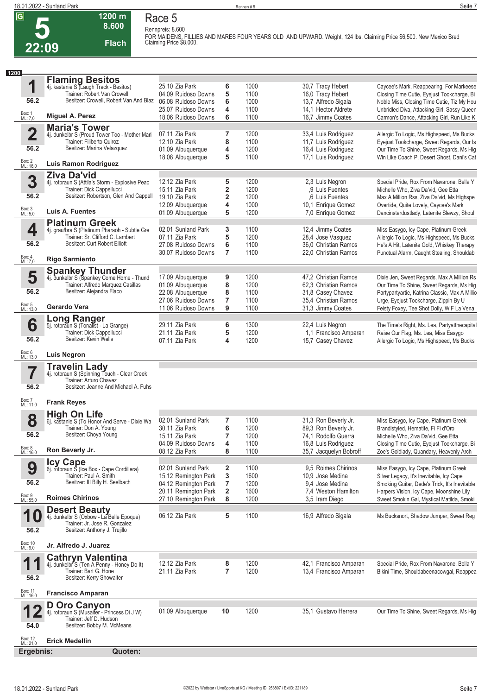**Race 5 Rennpreis: 8.600**

**1200 m 8.600** 

**Flach**

| 2:09 |  |
|------|--|

**FOR MAIDENS, FILLIES AND MARES FOUR YEARS OLD AND UPWARD. Weight, 124 lbs. Claiming Price \$6,500. New Mexico Bred Claiming Price \$8,000.** 

| 1200                |                                                                                                                                        |                                            |                |              |                                            |                                                                                          |
|---------------------|----------------------------------------------------------------------------------------------------------------------------------------|--------------------------------------------|----------------|--------------|--------------------------------------------|------------------------------------------------------------------------------------------|
|                     | <b>Flaming Besitos</b>                                                                                                                 |                                            |                |              |                                            |                                                                                          |
| 1                   | 4j. kastanie S (Laugh Track - Besitos)<br>Trainer: Robert Van Crowell                                                                  | 25.10 Zia Park                             | 6              | 1000         | 30,7 Tracy Hebert                          | Caycee's Mark, Reappearing, For Markeese                                                 |
| 56.2                | Besitzer: Crowell, Robert Van And Blaz                                                                                                 | 04.09 Ruidoso Downs<br>06.08 Ruidoso Downs | 5<br>6         | 1100<br>1000 | 16,0 Tracy Hebert<br>13,7 Alfredo Sigala   | Closing Time Cutie, Eyejust Tookcharge, Bi<br>Noble Miss, Closing Time Cutie, Tiz My Hou |
|                     |                                                                                                                                        | 25.07 Ruidoso Downs                        | 4              | 1100         | 14,1 Hector Aldrete                        | Unbridled Diva, Attacking Girl, Sassy Queen                                              |
| Box: 1<br>ML: 7,0   | Miguel A. Perez                                                                                                                        | 18.06 Ruidoso Downs                        | 6              | 1100         | 16,7 Jimmy Coates                          | Carmon's Dance, Attacking Girl, Run Like K                                               |
|                     | <b>Maria's Tower</b>                                                                                                                   |                                            |                |              |                                            |                                                                                          |
| $\overline{2}$      | 4j. dunkelbr S (Proud Tower Too - Mother Mari                                                                                          | 07.11 Zia Park                             | 7              | 1200         | 33,4 Luis Rodriguez                        | Allergic To Logic, Ms Highspeed, Ms Bucks                                                |
|                     | Trainer: Filiberto Quiroz                                                                                                              | 12.10 Zia Park                             | 8              | 1100         | 11,7 Luis Rodriguez                        | Eyejust Tookcharge, Sweet Regards, Our Is                                                |
| 56.2                | Besitzer: Marina Velazquez                                                                                                             | 01.09 Albuquerque                          | 4              | 1200         | 16,4 Luis Rodriguez                        | Our Time To Shine, Sweet Regards, Ms Hig                                                 |
| Box: 2<br>ML: 16,0  | Luis Ramon Rodriguez                                                                                                                   | 18.08 Albuquerque                          | 5              | 1100         | 17,1 Luis Rodriguez                        | Win Like Coach P, Desert Ghost, Dani's Cat                                               |
|                     |                                                                                                                                        |                                            |                |              |                                            |                                                                                          |
|                     | <b>Ziva Da'vid</b>                                                                                                                     | 12.12 Zia Park                             |                | 1200         |                                            |                                                                                          |
| 3                   | 4j. rotbraun S (Attila's Storm - Explosive Peac<br>Trainer: Dick Cappellucci                                                           | 15.11 Zia Park                             | 5<br>2         | 1200         | 2,3 Luis Negron<br>.9 Luis Fuentes         | Special Pride, Rox From Navarone, Bella Y<br>Michelle Who, Ziva Da'vid, Gee Etta         |
| 56.2                | Besitzer: Robertson, Glen And Cappell                                                                                                  | 19.10 Zia Park                             | 2              | 1200         | .6 Luis Fuentes                            | Max A Million Rss, Ziva Da'vid, Ms Highspe                                               |
|                     |                                                                                                                                        | 12.09 Albuquerque                          | 4              | 1000         | 10,1 Enrique Gomez                         | Overtide, Quite Lovely, Caycee's Mark                                                    |
| Box: 3<br>ML: 5,0   | Luis A. Fuentes                                                                                                                        | 01.09 Albuquerque                          | 5              | 1200         | 7,0 Enrique Gomez                          | Dancinstardustlady, Latenite Slewzy, Shoul                                               |
|                     | <b>Platinum Greek</b>                                                                                                                  |                                            |                |              |                                            |                                                                                          |
| 4                   | 4j. grau/bra S (Platinum Pharaoh - Subtle Gre                                                                                          | 02.01 Sunland Park                         | 3              | 1100         | 12,4 Jimmy Coates                          | Miss Easygo, Icy Cape, Platinum Greek                                                    |
|                     | Trainer: Sr. Clifford C. Lambert                                                                                                       | 07.11 Zia Park                             | 5              | 1200         | 28,4 Jose Vasquez                          | Allergic To Logic, Ms Highspeed, Ms Bucks                                                |
| 56.2                | Besitzer: Curt Robert Elliott                                                                                                          | 27.08 Ruidoso Downs                        | 6              | 1100         | 36.0 Christian Ramos                       | He's A Hit, Latenite Gold, Whiskey Therapy                                               |
| Box: 4<br>ML: 7,0   | <b>Rigo Sarmiento</b>                                                                                                                  | 30.07 Ruidoso Downs                        | $\overline{7}$ | 1100         | 22,0 Christian Ramos                       | Punctual Alarm, Caught Stealing, Shouldab                                                |
|                     |                                                                                                                                        |                                            |                |              |                                            |                                                                                          |
|                     | <b>Spankey Thunder</b><br>4j. dunkelbr S (Spankey Come Home - Thund                                                                    | 17.09 Albuquerque                          |                | 1200         | 47,2 Christian Ramos                       | Dixie Jen, Sweet Regards, Max A Million Rs                                               |
| 5                   | Trainer: Alfredo Marquez Casillas                                                                                                      | 01.09 Albuquerque                          | 9<br>8         | 1200         | 62,3 Christian Ramos                       | Our Time To Shine, Sweet Regards, Ms Hig                                                 |
| 56.2                | Besitzer: Alejandra Flaco                                                                                                              | 22.08 Albuquerque                          | 8              | 1100         | 31,8 Casey Chavez                          | Partypartyartie, Katrina Classic, Max A Millio                                           |
|                     |                                                                                                                                        | 27.06 Ruidoso Downs                        | 7              | 1100         | 35.4 Christian Ramos                       | Urge, Eyejust Tookcharge, Zippin By U                                                    |
| Box: 5<br>ML: 13,0  | Gerardo Vera                                                                                                                           | 11.06 Ruidoso Downs                        | 9              | 1100         | 31,3 Jimmy Coates                          | Feisty Foxey, Tee Shot Dolly, W F La Vena                                                |
|                     |                                                                                                                                        |                                            |                |              |                                            |                                                                                          |
| 6                   | <b>Long Ranger</b><br>5j. rotbraun S (Tonalist - La Grange)                                                                            | 29.11 Zia Park                             | 6              | 1300         | 22,4 Luis Negron                           | The Time's Right, Ms. Lea, Partyatthecapital                                             |
|                     | Trainer: Dick Cappellucci                                                                                                              | 21.11 Zia Park                             | 5              | 1200         | 1.1 Francisco Amparan                      | Raise Our Flag, Ms. Lea, Miss Easygo                                                     |
| 56.2                | Besitzer: Kevin Wells                                                                                                                  | 07.11 Zia Park                             | 4              | 1200         | 15,7 Casey Chavez                          | Allergic To Logic, Ms Highspeed, Ms Bucks                                                |
| Box: 6<br>ML: 13,0  | <b>Luis Negron</b>                                                                                                                     |                                            |                |              |                                            |                                                                                          |
| 7<br>56.2           | <b>Travelin Lady</b><br>4j. rotbraun S (Spinning Touch - Clear Creek<br>Trainer: Arturo Chavez<br>Besitzer: Jeanne And Michael A. Fuhs |                                            |                |              |                                            |                                                                                          |
| Box: 7<br>ML: 11,0  | <b>Frank Reyes</b>                                                                                                                     |                                            |                |              |                                            |                                                                                          |
|                     | <b>High On Life</b>                                                                                                                    |                                            |                |              |                                            |                                                                                          |
| 8                   | 6j. kastanie S (To Honor And Serve - Dixie Wa                                                                                          | 02.01 Sunland Park                         | 7              | 1100         | 31,3 Ron Beverly Jr.                       | Miss Easygo, Icy Cape, Platinum Greek                                                    |
| 56.2                | Trainer: Don A. Young<br>Besitzer: Choya Young                                                                                         | 30.11 Zia Park                             | 6              | 1200         | 89,3 Ron Beverly Jr.                       | Brandistyled, Hematite, Fi Fi d'Oro                                                      |
|                     |                                                                                                                                        | 15.11 Zia Park<br>04.09 Ruidoso Downs      | 7<br>4         | 1200<br>1100 | 74.1 Rodolfo Guerra<br>16,8 Luis Rodriguez | Michelle Who. Ziva Da'vid. Gee Etta<br>Closing Time Cutie, Eyejust Tookcharge, Bi        |
| Box: 8<br>ML: 16,0  | Ron Beverly Jr.                                                                                                                        | 08.12 Zia Park                             | 8              | 1100         | 35.7 Jacquelyn Bobroff                     | Zoe's Goldlady, Quandary, Heavenly Arch                                                  |
|                     |                                                                                                                                        |                                            |                |              |                                            |                                                                                          |
| 9                   | <b>Icy Cape</b><br>6j. rotbraun S (Ice Box - Cape Cordillera)                                                                          | 02.01 Sunland Park                         | 2              | 1100         | 9.5 Roimes Chirinos                        | Miss Easygo, Icy Cape, Platinum Greek                                                    |
|                     | Trainer: Paul A. Smith                                                                                                                 | 15.12 Remington Park                       | 3              | 1600         | 10.9 Jose Medina                           | Silver Legacy, It's Inevitable, Icy Cape                                                 |
| 56.2                | Besitzer: III Billy H. Seelbach                                                                                                        | 04.12 Remington Park                       | 7              | 1200         | 9,4 Jose Medina                            | Smoking Guitar, Dede's Trick, It's Inevitable                                            |
|                     |                                                                                                                                        | 20.11 Remington Park                       | 2              | 1600         | 7.4 Weston Hamilton                        | Harpers Vision, Icy Cape, Moonshine Lily                                                 |
| Box: 9<br>ML: 55,0  | <b>Roimes Chirinos</b>                                                                                                                 | 27.10 Remington Park                       | 8              | 1200         | 3,5 Iram Diego                             | Sweet Smokin Gal, Mystical Matilda, Smoki                                                |
| 4                   | <b>Desert Beauty</b>                                                                                                                   |                                            |                |              |                                            |                                                                                          |
|                     | 4j. dunkelbr S (Oxbow - La Belle Epoque)<br>Trainer: Jr. Jose R. Gonzalez                                                              | 06.12 Zia Park                             | 5              | 1100         | 16,9 Alfredo Sigala                        | Ms Bucksnort, Shadow Jumper, Sweet Req                                                   |
| 56.2                | Besitzer: Anthony J. Trujillo                                                                                                          |                                            |                |              |                                            |                                                                                          |
|                     |                                                                                                                                        |                                            |                |              |                                            |                                                                                          |
| Box: 10<br>ML: 9,0  | Jr. Alfredo J. Juarez                                                                                                                  |                                            |                |              |                                            |                                                                                          |
|                     | <b>Cathryn Valentina</b>                                                                                                               |                                            |                |              |                                            |                                                                                          |
| 1                   | 4j. dunkelbr S (Ten A Penny - Honey Do It)                                                                                             | 12.12 Zia Park                             | 8              | 1200         | 42,1 Francisco Amparan                     | Special Pride, Rox From Navarone, Bella Y                                                |
|                     | Trainer: Bart G. Hone<br>Besitzer: Kerry Showalter                                                                                     | 21.11 Zia Park                             | $\overline{7}$ | 1200         | 13,4 Francisco Amparan                     | Bikini Time, Shouldabeenacowgal, Reappea                                                 |
|                     |                                                                                                                                        |                                            |                |              |                                            |                                                                                          |
| 56.2                |                                                                                                                                        |                                            |                |              |                                            |                                                                                          |
| Box: 11<br>ML: 16,0 | <b>Francisco Amparan</b>                                                                                                               |                                            |                |              |                                            |                                                                                          |
|                     |                                                                                                                                        |                                            | 10             |              |                                            |                                                                                          |
|                     | <b>D Oro Canyon</b><br>4j. rotbraun S (Musaiter - Princess Di J W)<br>Trainer: Jeff D. Hudson                                          | 01.09 Albuquerque                          |                | 1200         | 35,1 Gustavo Herrera                       |                                                                                          |
| 54.0                | Besitzer: Bobby M. McMeans                                                                                                             |                                            |                |              |                                            |                                                                                          |
|                     |                                                                                                                                        |                                            |                |              |                                            | Our Time To Shine, Sweet Regards, Ms Hig                                                 |
| Box: 12<br>ML: 21,0 | <b>Erick Medellin</b>                                                                                                                  |                                            |                |              |                                            |                                                                                          |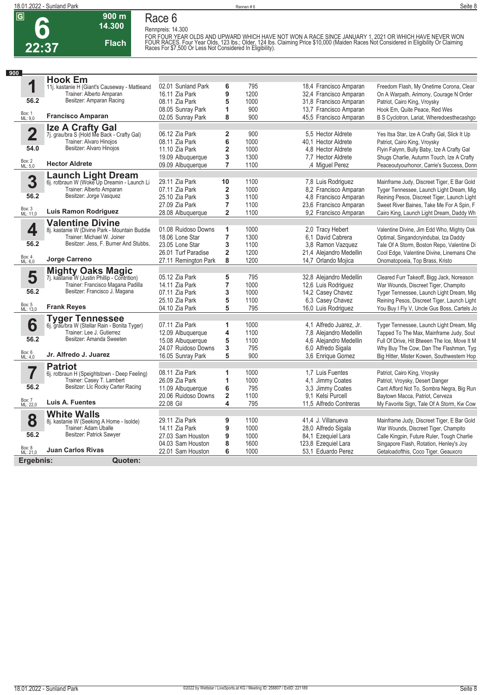**6**

**22:37**

# **900 m**

**Race 6**

**14.300 Flach**

**Rennpreis: 14.300** FOR FOUR YEAR OLDS AND UPWARD WHICH HAVE NOT WON A RACE SINCE JANUARY 1, 2021 OR WHICH HAVE NEVER WON<br>FOUR RACES. Four Year Olds, 123 Ibs.; Older, 124 Ibs. Claiming Price \$10,000 (Maiden Races Not Considered in Eligibility

| 900                     |                                                                          |                      |                         |      |                     |                         |                                                                                    |
|-------------------------|--------------------------------------------------------------------------|----------------------|-------------------------|------|---------------------|-------------------------|------------------------------------------------------------------------------------|
|                         | <b>Hook Em</b>                                                           |                      |                         |      |                     |                         |                                                                                    |
| 1                       | 11j. kastanie H (Giant's Causeway - Mattieand                            | 02.01 Sunland Park   | 6                       | 795  |                     | 18,4 Francisco Amparan  | Freedom Flash, My Onetime Corona, Clear                                            |
|                         | Trainer: Alberto Amparan                                                 | 16.11 Zia Park       | 9                       | 1200 |                     | 32,4 Francisco Amparan  | On A Warpath, Arimony, Courage N Order                                             |
| 56.2                    | Besitzer: Amparan Racing                                                 | 08.11 Zia Park       | 5                       | 1000 |                     | 31,8 Francisco Amparan  | Patriot, Cairo King, Vroysky                                                       |
|                         |                                                                          | 08.05 Sunray Park    | 1                       | 900  |                     | 13,7 Francisco Amparan  | Hook Em, Quite Peace, Red Wes                                                      |
| Box: 1<br>ML: 9,0       | <b>Francisco Amparan</b>                                                 | 02.05 Sunray Park    | 8                       | 900  |                     | 45,5 Francisco Amparan  | B S Cyclotron, Lariat, Wheredoesthecashgo                                          |
|                         |                                                                          |                      |                         |      |                     |                         |                                                                                    |
| $\overline{\mathbf{2}}$ | <b>Ize A Crafty Gal</b><br>7j. grau/bra S (Hold Me Back - Crafty Gal)    | 06.12 Zia Park       | $\overline{\mathbf{2}}$ | 900  | 5.5 Hector Aldrete  |                         | Yes Itsa Star, Ize A Crafty Gal, Slick It Up                                       |
|                         | Trainer: Alvaro Hinojos                                                  | 08.11 Zia Park       | 6                       | 1000 | 40,1 Hector Aldrete |                         | Patriot, Cairo King, Vroysky                                                       |
| 54.0                    | Besitzer: Alvaro Hinojos                                                 | 11.10 Zia Park       | $\overline{\mathbf{c}}$ | 1000 | 4.8 Hector Aldrete  |                         | Flyin Falynn, Bully Baby, Ize A Crafty Gal                                         |
|                         |                                                                          | 19.09 Albuquerque    | 3                       | 1300 | 7,7 Hector Aldrete  |                         | Shugs Charlie, Autumn Touch, Ize A Crafty                                          |
| Box: 2<br>ML: 5,0       | <b>Hector Aldrete</b>                                                    | 09.09 Albuquerque    | $\overline{7}$          | 1100 | 4 Miquel Perez      |                         | Peaceoutyourhonor, Carrie's Success, Donn                                          |
|                         |                                                                          |                      |                         |      |                     |                         |                                                                                    |
| 3                       | <b>Launch Light Dream</b><br>6j. rotbraun W (Woke Up Dreamin - Launch Li | 29.11 Zia Park       | 10                      | 1100 | 7,8 Luis Rodriguez  |                         | Mainframe Judy, Discreet Tiger, E Bar Gold                                         |
|                         | Trainer: Alberto Amparan                                                 | 07.11 Zia Park       | 2                       | 1000 |                     | 8,2 Francisco Amparan   | Tyger Tennessee, Launch Light Dream, Mig                                           |
| 56.2                    | Besitzer: Jorge Vasquez                                                  | 25.10 Zia Park       | 3                       | 1100 |                     | 4,8 Francisco Amparan   | Reining Pesos, Discreet Tiger, Launch Light                                        |
|                         |                                                                          | 27.09 Zia Park       | 7                       | 1100 |                     | 23,6 Francisco Amparan  | Sweet River Baines, Take Me For A Spin, F                                          |
| Box: 3<br>ML: 11,0      | Luis Ramon Rodriguez                                                     |                      | 2                       | 1100 |                     | 9.2 Francisco Amparan   |                                                                                    |
|                         |                                                                          | 28.08 Albuquerque    |                         |      |                     |                         | Cairo King, Launch Light Dream, Daddy Wh                                           |
|                         | <b>Valentine Divine</b>                                                  |                      |                         |      |                     |                         |                                                                                    |
| 4                       | 8j. kastanie W (Divine Park - Mountain Buddie                            | 01.08 Ruidoso Downs  | 1                       | 1000 | 2.0 Tracy Hebert    |                         | Valentine Divine, Jim Edd Who, Mighty Oak                                          |
|                         | Trainer: Michael W. Joiner<br>Besitzer: Jess, F. Burner And Stubbs,      | 18.06 Lone Star      | 7                       | 1300 | 6.1 David Cabrera   |                         | Optimal, Singandcryindubai, Iza Daddy                                              |
| 56.2                    |                                                                          | 23.05 Lone Star      | 3                       | 1100 |                     | 3.8 Ramon Vazquez       | Tale Of A Storm, Boston Repo, Valentine Di                                         |
|                         |                                                                          | 26.01 Turf Paradise  | 2                       | 1200 |                     | 21,4 Alejandro Medellin | Cool Edge, Valentine Divine, Linemans Che                                          |
| Box: 4<br>ML: 6,0       | Jorge Carreno                                                            | 27.11 Remington Park | 8                       | 1200 | 14,7 Orlando Mojica |                         | Onomatopoeia, Top Brass, Kristo                                                    |
|                         | <b>Mighty Oaks Magic</b>                                                 |                      |                         |      |                     |                         |                                                                                    |
| 5                       | 7j. kastanie W (Justin Phillip - Contrition)                             | 05.12 Zia Park       | 5                       | 795  |                     | 32,8 Alejandro Medellin | Cleared Furr Takeoff, Bigg Jack, Noreason                                          |
|                         | Trainer: Francisco Magana Padilla                                        | 14.11 Zia Park       | 7                       | 1000 | 12,6 Luis Rodriguez |                         | War Wounds, Discreet Tiger, Champito                                               |
| 56.2                    | Besitzer: Francisco J. Magana                                            | 07.11 Zia Park       | 3                       | 1000 | 14,2 Casey Chavez   |                         | Tyger Tennessee, Launch Light Dream, Mig                                           |
|                         |                                                                          | 25.10 Zia Park       | 5                       | 1100 | 6,3 Casey Chavez    |                         | Reining Pesos, Discreet Tiger, Launch Light                                        |
| Box: 5<br>ML: 13,0      | <b>Frank Reyes</b>                                                       | 04.10 Zia Park       | 5                       | 795  | 16,0 Luis Rodriguez |                         | You Buy I Fly V, Uncle Gus Boss, Cartels Jo                                        |
|                         |                                                                          |                      |                         |      |                     |                         |                                                                                    |
| 6                       | Tyger Tennessee<br>6j. grau/bra W (Stellar Rain - Bonita Tyger)          | 07.11 Zia Park       | 1                       | 1000 |                     | 4,1 Alfredo Juarez, Jr. | Tyger Tennessee, Launch Light Dream, Mig                                           |
|                         | Trainer: Lee J. Gutierrez                                                | 12.09 Albuquerque    | 4                       | 1100 |                     | 7,8 Alejandro Medellin  | Tapped To The Max, Mainframe Judy, Sout                                            |
| 56.2                    | Besitzer: Amanda Sweeten                                                 | 15.08 Albuquerque    | 5                       | 1100 |                     | 4,6 Alejandro Medellin  | Full Of Drive, Hit Btween The Ice, Move It M                                       |
|                         |                                                                          | 24.07 Ruidoso Downs  | 3                       | 795  | 6,0 Alfredo Sigala  |                         | Why Buy The Cow, Dan The Flashman, Tyg                                             |
| Box: 6<br>ML: 4,0       | Jr. Alfredo J. Juarez                                                    | 16.05 Sunray Park    | 5                       | 900  | 3.6 Enrique Gomez   |                         | Big Hitter, Mister Kowen, Southwestern Hop                                         |
|                         | <b>Patriot</b>                                                           |                      |                         |      |                     |                         |                                                                                    |
|                         | 6j. rotbraun H (Speightstown - Deep Feeling)                             | 08.11 Zia Park       | 1                       | 1000 | 1,7 Luis Fuentes    |                         | Patriot, Cairo King, Vroysky                                                       |
|                         | Trainer: Casey T. Lambert                                                | 26.09 Zia Park       | 1                       | 1000 | 4.1 Jimmy Coates    |                         | Patriot, Vroysky, Desert Danger                                                    |
| 56.2                    | Besitzer: Llc Rocky Carter Racing                                        | 11.09 Albuquerque    | 6                       | 795  | 3,3 Jimmy Coates    |                         | Cant Afford Not To, Sombra Negra, Big Run                                          |
|                         |                                                                          | 20.06 Ruidoso Downs  | $\overline{\mathbf{c}}$ | 1100 | 9.1 Kelsi Purcell   |                         | Baytown Macca, Patriot, Cerveza                                                    |
| Box: 7<br>ML: 22,0      | Luis A. Fuentes                                                          | 22.08 Gil            | 4                       | 795  |                     | 11,5 Alfredo Contreras  | My Favorite Sign, Tale Of A Storm, Kw Cow                                          |
|                         |                                                                          |                      |                         |      |                     |                         |                                                                                    |
|                         | <b>White Walls</b>                                                       | 29.11 Zia Park       | 9                       | 1100 | 41,4 J. Villanueva  |                         |                                                                                    |
| 8                       | 8j. kastanie W (Seeking A Home - Isolde)<br>Trainer: Adam Uballe         | 14.11 Zia Park       | 9                       | 1000 | 28,0 Alfredo Sigala |                         | Mainframe Judy, Discreet Tiger, E Bar Gold<br>War Wounds, Discreet Tiger, Champito |
| 56.2                    | Besitzer: Patrick Sawyer                                                 |                      |                         |      |                     |                         |                                                                                    |
|                         |                                                                          | 27.03 Sam Houston    | 9                       | 1000 | 84,1 Ezequiel Lara  |                         | Calle Kingpin, Future Ruler, Tough Charlie                                         |
| Box: 8<br>ML: 21,0      | <b>Juan Carlos Rivas</b>                                                 | 04.03 Sam Houston    | 8<br>6                  | 1600 | 123,8 Ezequiel Lara |                         | Singapore Flash, Rotation, Henley's Joy                                            |
|                         |                                                                          | 22.01 Sam Houston    |                         | 1000 | 53.1 Eduardo Perez  |                         | Getaloadofthis, Coco Tiger, Geauxcro                                               |
| Ergebnis:               | Quoten:                                                                  |                      |                         |      |                     |                         |                                                                                    |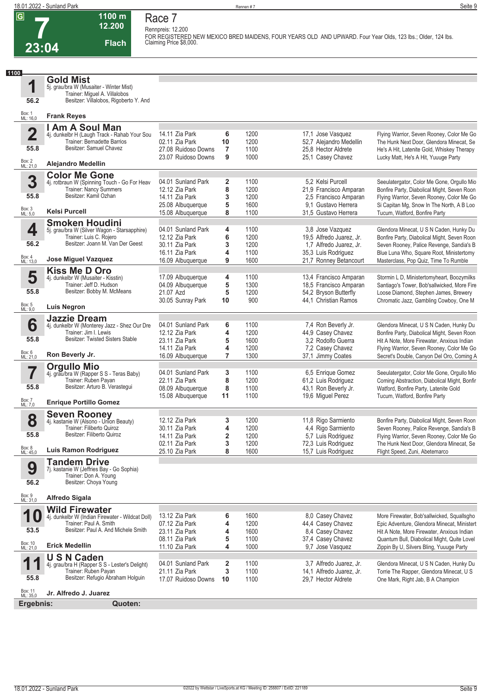**Race 7**

**Rennpreis: 12.200**



**12.200 Flach FOR REGISTERED NEW MEXICO BRED MAIDENS, FOUR YEARS OLD AND UPWARD. Four Year Olds, 123 lbs.; Older, 124 lbs. Claiming Price \$8,000.** 

**1100**

**1 Gold Mist**

5j. grau/bra W (Musaiter - Winter Mist) Trainer: Miguel A. Villalobos Besitzer: Villalobos, Rigoberto Y. And

**1100 m**

| 56.2 | Besitzer: Villalobos, Rigoberto Y. And |
|------|----------------------------------------|
|      |                                        |

| Box: 1<br>ML: 16,0      | <b>Frank Reyes</b>                                                            |                                        |                              |              |                                                  |                                                                                            |
|-------------------------|-------------------------------------------------------------------------------|----------------------------------------|------------------------------|--------------|--------------------------------------------------|--------------------------------------------------------------------------------------------|
|                         | I Am A Soul Man                                                               |                                        |                              |              |                                                  |                                                                                            |
| $\overline{\mathbf{2}}$ | 4j. dunkelbr H (Laugh Track - Rahab Your Sou                                  | 14.11 Zia Park                         | 6                            | 1200         | 17,1 Jose Vasquez                                | Flying Warrior, Seven Rooney, Color Me Go                                                  |
| 55.8                    | Trainer: Bernadette Barrios<br>Besitzer: Samuel Chavez                        | 02.11 Zia Park<br>27.08 Ruidoso Downs  | 10<br>7                      | 1200<br>1100 | 52.7 Aleiandro Medellin<br>25.8 Hector Aldrete   | The Hunk Next Door, Glendora Minecat, Se<br>He's A Hit, Latenite Gold, Whiskey Therapy     |
|                         |                                                                               | 23.07 Ruidoso Downs                    | 9                            | 1000         | 25,1 Casey Chavez                                | Lucky Matt, He's A Hit, Yuuuge Party                                                       |
| Box: 2<br>ML: 21,0      | <b>Alejandro Medellin</b>                                                     |                                        |                              |              |                                                  |                                                                                            |
|                         | <b>Color Me Gone</b>                                                          |                                        |                              |              |                                                  |                                                                                            |
| 3                       | 4j. rotbraun W (Spinning Touch - Go For Heav<br><b>Trainer: Nancy Summers</b> | 04.01 Sunland Park<br>12.12 Zia Park   | $\overline{\mathbf{2}}$<br>8 | 1100<br>1200 | 5,2 Kelsi Purcell<br>21,9 Francisco Amparan      | Seeulatergator, Color Me Gone, Orgullo Mio<br>Bonfire Party, Diabolical Might, Seven Roon  |
| 55.8                    | Besitzer: Kamil Ozhan                                                         | 14.11 Zia Park                         | 3                            | 1200         | 2,5 Francisco Amparan                            | Flying Warrior, Seven Rooney, Color Me Go                                                  |
|                         |                                                                               | 25.08 Albuquerque                      | 5                            | 1600         | 9.1 Gustavo Herrera                              | Si Capitan Mg, Snow In The North, A B Loo                                                  |
| Box: 3<br>ML: 5,0       | <b>Kelsi Purcell</b>                                                          | 15.08 Albuquerque                      | 8                            | 1100         | 31,5 Gustavo Herrera                             | Tucum, Watford, Bonfire Party                                                              |
|                         | <b>Smoken Houdini</b>                                                         |                                        |                              |              |                                                  |                                                                                            |
| 4                       | 5j. grau/bra W (Silver Wagon - Starsapphire)<br>Trainer: Luis C. Rojero       | 04.01 Sunland Park<br>12.12 Zia Park   | 4<br>6                       | 1100<br>1200 | 3,8 Jose Vazquez<br>19.5 Alfredo Juarez, Jr.     | Glendora Minecat, U S N Caden, Hunky Du<br>Bonfire Party, Diabolical Might, Seven Roon     |
| 56.2                    | Besitzer: Joann M. Van Der Geest                                              | 30.11 Zia Park                         | 3                            | 1200         | 1,7 Alfredo Juarez, Jr.                          | Seven Rooney, Palice Revenge, Sandia's B                                                   |
|                         |                                                                               | 16.11 Zia Park                         | 4                            | 1100         | 35,3 Luis Rodriguez                              | Blue Luna Who, Square Root, Ministertomy                                                   |
| Box: 4<br>ML: 13,0      | Jose Miguel Vazquez                                                           | 16.09 Albuquerque                      | 9                            | 1600         | 21,7 Ronney Betancourt                           | Masterclass, Pop Quiz, Time To Rumble                                                      |
|                         | <b>Kiss Me D Oro</b>                                                          |                                        |                              |              |                                                  |                                                                                            |
| 5                       | 4j. dunkelbr W (Musaiter - Kisstin)<br>Trainer: Jeff D. Hudson                | 17.09 Albuquerque<br>04.09 Albuquerque | 4<br>5                       | 1100<br>1300 | 13,4 Francisco Amparan<br>18.5 Francisco Amparan | Stormin L D, Ministertomyheart, Boozymilks<br>Santiago's Tower, Bob'sallwicked, More Fire  |
| 55.8                    | Besitzer: Bobby M. McMeans                                                    | 21.07 Azd                              | 5                            | 1200         | 54,2 Bryson Butterfly                            | Loose Diamond, Stephen James, Brewery                                                      |
|                         |                                                                               | 30.05 Sunray Park                      | 10                           | 900          | 44,1 Christian Ramos                             | Chromatic Jazz, Gambling Cowboy, One M                                                     |
| Box: 5<br>ML: 9,0       | Luis Negron                                                                   |                                        |                              |              |                                                  |                                                                                            |
| 6                       | <b>Jazzie Dream</b>                                                           | 04.01 Sunland Park                     | 6                            | 1100         | 7,4 Ron Beverly Jr.                              | Glendora Minecat, U S N Caden, Hunky Du                                                    |
|                         | 4j. dunkelbr W (Monterey Jazz - Shez Our Dre<br>Trainer: Jim I. Lewis         | 12.12 Zia Park                         | 4                            | 1200         | 44,9 Casey Chavez                                | Bonfire Party, Diabolical Might, Seven Roon                                                |
| 55.8                    | Besitzer: Twisted Sisters Stable                                              | 23.11 Zia Park                         | 5                            | 1600         | 3.2 Rodolfo Guerra                               | Hit A Note, More Firewater, Anxious Indian                                                 |
|                         |                                                                               | 14.11 Zia Park                         | 4                            | 1200         | 7,2 Casey Chavez                                 | Flying Warrior, Seven Rooney, Color Me Go                                                  |
| Box: 6<br>ML: 21,0      | Ron Beverly Jr.                                                               | 16.09 Albuquerque                      | $\overline{7}$               | 1300         | 37,1 Jimmy Coates                                | Secret's Double, Canyon Del Oro, Coming A                                                  |
|                         | <b>Orgullo Mio</b>                                                            |                                        |                              |              |                                                  |                                                                                            |
| 7                       | 4j. grau/bra W (Rapper S S - Teras Baby)<br>Trainer: Ruben Payan              | 04.01 Sunland Park<br>22.11 Zia Park   | 3<br>8                       | 1100<br>1200 | 6,5 Enrique Gomez<br>61,2 Luis Rodriguez         | Seeulatergator, Color Me Gone, Orgullo Mio<br>Coming Abstraction, Diabolical Might, Bonfir |
| 55.8                    | Besitzer: Arturo B. Verastegui                                                | 08.09 Albuquerque                      | 8                            | 1100         | 43,1 Ron Beverly Jr.                             | Watford, Bonfire Party, Latenite Gold                                                      |
|                         |                                                                               | 15.08 Albuquerque                      | 11                           | 1100         | 19,6 Miguel Perez                                | Tucum, Watford, Bonfire Party                                                              |
| Box: 7<br>ML: 7,0       | <b>Enrique Portillo Gomez</b>                                                 |                                        |                              |              |                                                  |                                                                                            |
| 8                       | <b>Seven Rooney</b><br>4j. kastanie W (Alsono - Union Beauty)                 | 12.12 Zia Park                         | 3                            | 1200         | 11,8 Rigo Sarmiento                              | Bonfire Party, Diabolical Might, Seven Roon                                                |
|                         | Trainer: Filiberto Quiroz                                                     | 30.11 Zia Park                         | 4                            | 1200         | 4,4 Rigo Sarmiento                               | Seven Rooney, Palice Revenge, Sandia's B                                                   |
| 55.8                    | Besitzer: Filiberto Quiroz                                                    | 14.11 Zia Park                         | $\overline{\mathbf{2}}$      | 1200         | 5,7 Luis Rodriguez                               | Flying Warrior, Seven Rooney, Color Me Go                                                  |
|                         |                                                                               | 02.11 Zia Park                         | 3                            | 1200         | 72,3 Luis Rodriguez                              | The Hunk Next Door, Glendora Minecat, Se                                                   |
| Box: 8<br>ML: 45,0      | <b>Luis Ramon Rodriguez</b>                                                   | 25.10 Zia Park                         | 8                            | 1600         | 15,7 Luis Rodriguez                              | Flight Speed, Zuni, Abetemarco                                                             |
| 9                       | <b>Tandem Drive</b><br>7j. kastanie W (Jeffries Bay - Go Sophia)              |                                        |                              |              |                                                  |                                                                                            |
|                         | Trainer: Don A. Young                                                         |                                        |                              |              |                                                  |                                                                                            |
| 56.2                    | Besitzer: Choya Young                                                         |                                        |                              |              |                                                  |                                                                                            |
| Box: 9<br>ML: 31,0      | <b>Alfredo Sigala</b>                                                         |                                        |                              |              |                                                  |                                                                                            |
|                         | <b>Wild Firewater</b>                                                         |                                        |                              |              |                                                  |                                                                                            |
| 1<br>U                  | 4j. dunkelbr W (Indian Firewater - Wildcat Doll)                              | 13.12 Zia Park                         | 6                            | 1600         | 8,0 Casey Chavez                                 | More Firewater, Bob'sallwicked, Squallsgho                                                 |
|                         | Trainer: Paul A. Smith                                                        | 07.12 Zia Park                         | 4                            | 1200         | 44,4 Casey Chavez                                | Epic Adventure, Glendora Minecat, Ministert                                                |
| 53.5                    | Besitzer: Paul A. And Michele Smith                                           | 23.11 Zia Park                         | 4<br>5                       | 1600         | 8,4 Casey Chavez                                 | Hit A Note. More Firewater. Anxious Indian                                                 |
| Box: 10<br>ML: 21,0     | <b>Erick Medellin</b>                                                         | 08.11 Zia Park<br>11.10 Zia Park       | 4                            | 1100<br>1000 | 37,4 Casey Chavez<br>9,7 Jose Vasquez            | Quantum Bull, Diabolical Might, Quite Lovel<br>Zippin By U, Silvers Bling, Yuuuge Party    |
|                         | <b>USN Caden</b>                                                              |                                        |                              |              |                                                  |                                                                                            |
| 1                       | 4j. grau/bra H (Rapper S S - Lester's Delight)                                | 04.01 Sunland Park                     | 2                            | 1100         | 3.7 Alfredo Juarez, Jr.                          | Glendora Minecat, U S N Caden, Hunky Du                                                    |
|                         | Trainer: Ruben Payan                                                          | 21.11 Zia Park                         | 3                            | 1100         | 14,1 Alfredo Juarez, Jr.                         | Torrie The Rapper, Glendora Minecat, U S                                                   |
| 55.8                    | Besitzer: Refugio Abraham Holguin                                             | 17.07 Ruidoso Downs                    | 10                           | 1100         | 29.7 Hector Aldrete                              | One Mark, Right Jab, B A Champion                                                          |
| Box: 11<br>ML: 35,0     | Jr. Alfredo J. Juarez                                                         |                                        |                              |              |                                                  |                                                                                            |
| Ergebnis:               | Quoten:                                                                       |                                        |                              |              |                                                  |                                                                                            |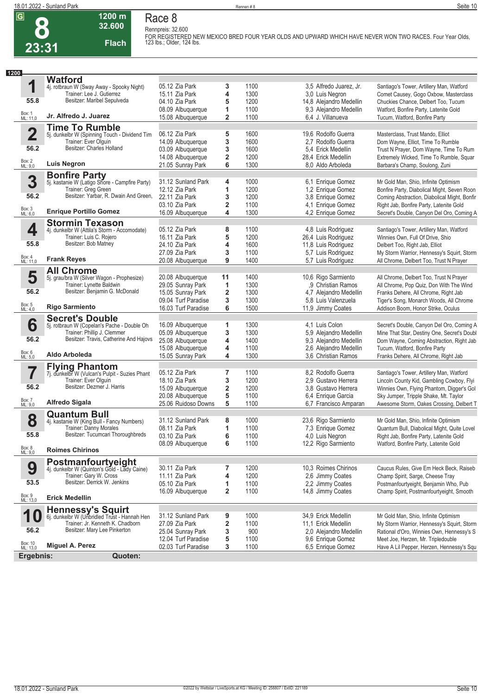### **Race 8 Rennpreis: 32.600**

**1200 m 32.600** 

**Flach**

**FOR REGISTERED NEW MEXICO BRED FOUR YEAR OLDS AND UPWARD WHICH HAVE NEVER WON TWO RACES. Four Year Olds, 123 lbs.; Older, 124 lbs.** 

| 1200 |                          |                                                                    |                     |                         |      |                         |                                              |
|------|--------------------------|--------------------------------------------------------------------|---------------------|-------------------------|------|-------------------------|----------------------------------------------|
|      |                          | <b>Watford</b>                                                     |                     |                         |      |                         |                                              |
|      | 1                        | 4j. rotbraun W (Sway Away - Spooky Night)                          | 05.12 Zia Park      | 3                       | 1100 | 3,5 Alfredo Juarez, Jr. | Santiago's Tower, Artillery Man, Watford     |
|      |                          | Trainer: Lee J. Gutierrez                                          | 15.11 Zia Park      | 4                       | 1300 | 3,0 Luis Negron         | Comet Causey, Gogo Oxbow, Masterclass        |
|      | 55.8                     | Besitzer: Maribel Sepulveda                                        | 04.10 Zia Park      | 5                       | 1200 | 14,8 Alejandro Medellin | Chuckies Chance, Delbert Too, Tucum          |
|      |                          |                                                                    | 08.09 Albuquerque   | 1                       | 1100 | 9,3 Alejandro Medellin  | Watford, Bonfire Party, Latenite Gold        |
|      | Box: 1<br>ML: 11,0       | Jr. Alfredo J. Juarez                                              | 15.08 Albuquerque   | $\overline{\mathbf{2}}$ | 1100 | 6,4 J. Villanueva       | Tucum, Watford, Bonfire Party                |
|      |                          | <b>Time To Rumble</b>                                              |                     |                         |      |                         |                                              |
|      | $\overline{\mathbf{2}}$  | 5j. dunkelbr W (Spinning Touch - Dividend Tim                      | 06.12 Zia Park      | 5                       | 1600 | 19,6 Rodolfo Guerra     | Masterclass, Trust Mando, Elliot             |
|      |                          | Trainer: Ever Olguin                                               | 14.09 Albuquerque   | 3                       | 1600 | 2,7 Rodolfo Guerra      | Dom Wayne, Elliot, Time To Rumble            |
|      | 56.2                     | Besitzer: Charles Holland                                          | 03.09 Albuquerque   | 3                       | 1600 | 5.4 Erick Medellin      | Trust N Prayer, Dom Wayne, Time To Rum       |
|      |                          |                                                                    | 14.08 Albuquerque   | 2                       | 1200 | 28,4 Erick Medellin     | Extremely Wicked, Time To Rumble, Squar      |
|      | Box: 2<br>ML: 9,0        | <b>Luis Negron</b>                                                 | 21.05 Sunray Park   | 6                       | 1300 | 8,0 Aldo Arboleda       | Barbara's Champ, Soulong, Zuni               |
|      |                          |                                                                    |                     |                         |      |                         |                                              |
|      | 3                        | <b>Bonfire Party</b>                                               |                     |                         |      | 6,1 Enrique Gomez       |                                              |
|      |                          | 5j. kastanie W (Latigo Shore - Campfire Party)                     | 31.12 Sunland Park  | 4                       | 1000 |                         | Mr Gold Man, Shio, Infinite Optimism         |
|      | 56.2                     | Trainer: Greg Green<br>Besitzer: Yarbar, R. Dwain And Green,       | 12.12 Zia Park      | 1                       | 1200 | 1,2 Enrique Gomez       | Bonfire Party, Diabolical Might, Seven Roon  |
|      |                          |                                                                    | 22.11 Zia Park      | 3                       | 1200 | 3,8 Enrique Gomez       | Coming Abstraction, Diabolical Might, Bonfir |
|      | Box: 3<br>ML: 6,0        | <b>Enrique Portillo Gomez</b>                                      | 03.10 Zia Park      | $\overline{\mathbf{2}}$ | 1100 | 4,1 Enrique Gomez       | Right Jab, Bonfire Party, Latenite Gold      |
|      |                          |                                                                    | 16.09 Albuquerque   | 4                       | 1300 | 4,2 Enrique Gomez       | Secret's Double, Canyon Del Oro, Coming A    |
|      |                          | <b>Stormin Texason</b>                                             |                     |                         |      |                         |                                              |
|      | 4                        | 4j. dunkelbr W (Attila's Storm - Accomodate)                       | 05.12 Zia Park      | 8                       | 1100 | 4,8 Luis Rodriguez      | Santiago's Tower, Artillery Man, Watford     |
|      |                          | Trainer: Luis C. Rojero                                            | 16.11 Zia Park      | 5                       | 1200 | 26,4 Luis Rodriguez     | Winnies Own, Full Of Drive, Shio             |
|      | 55.8                     | Besitzer: Bob Matney                                               | 24.10 Zia Park      | 4                       | 1600 | 11,8 Luis Rodriguez     | Delbert Too, Right Jab, Elliot               |
|      |                          |                                                                    | 27.09 Zia Park      | 3                       | 1100 | 5,7 Luis Rodriguez      | My Storm Warrior, Hennessy's Squirt, Storm   |
|      | Box: 4<br>ML: 11,0       | <b>Frank Reyes</b>                                                 | 20.08 Albuquerque   | 9                       | 1400 | 5,7 Luis Rodriguez      | All Chrome, Delbert Too, Trust N Prayer      |
|      |                          | <b>All Chrome</b>                                                  |                     |                         |      |                         |                                              |
|      | 5                        | 5j. grau/bra W (Silver Wagon - Prophesize)                         | 20.08 Albuquerque   | 11                      | 1400 | 10,6 Rigo Sarmiento     | All Chrome, Delbert Too, Trust N Prayer      |
|      |                          | Trainer: Lynette Baldwin                                           | 29.05 Sunray Park   | 1                       | 1300 | ,9 Christian Ramos      | All Chrome, Pop Quiz, Don With The Wind      |
|      | 56.2                     | Besitzer: Benjamin G. McDonald                                     | 15.05 Sunray Park   | 2                       | 1300 | 4,7 Alejandro Medellin  | Franks Dehere, All Chrome, Right Jab         |
|      |                          |                                                                    | 09.04 Turf Paradise | 3                       | 1300 | 5,8 Luis Valenzuela     | Tiger's Song, Monarch Woods, All Chrome      |
|      | Box: 5<br>ML: 4,0        | <b>Rigo Sarmiento</b>                                              | 16.03 Turf Paradise | 6                       | 1500 | 11,9 Jimmy Coates       | Addison Boom, Honor Strike, Oculus           |
|      |                          | <b>Secret's Double</b>                                             |                     |                         |      |                         |                                              |
|      | 6                        | 5j. rotbraun W (Copelan's Pache - Double Oh                        | 16.09 Albuquerque   | 1                       | 1300 | 4.1 Luis Colon          | Secret's Double, Canyon Del Oro, Coming A    |
|      |                          | Trainer: Phillip J. Clemmer                                        | 05.09 Albuquerque   | 3                       | 1300 | 5,9 Alejandro Medellin  | Mine That Star, Destiny One, Secret's Doubl  |
|      | 56.2                     | Besitzer: Travis, Catherine And Hajovs                             | 25.08 Albuquerque   | 4                       | 1400 | 9,3 Alejandro Medellin  | Dom Wayne, Coming Abstraction, Right Jab     |
|      |                          |                                                                    | 15.08 Albuquerque   | 4                       | 1100 | 2,6 Alejandro Medellin  | Tucum, Watford, Bonfire Party                |
|      | Box: 6<br>ML: 5,0        | Aldo Arboleda                                                      | 15.05 Sunray Park   | 4                       | 1300 | 3.6 Christian Ramos     | Franks Dehere, All Chrome, Right Jab         |
|      |                          |                                                                    |                     |                         |      |                         |                                              |
|      |                          | <b>Flying Phantom</b>                                              |                     |                         |      |                         |                                              |
|      | 7                        | 7j. dunkelbr W (Vulcan's Pulpit - Suzies Phant                     | 05.12 Zia Park      | 7                       | 1100 | 8.2 Rodolfo Guerra      | Santiago's Tower, Artillery Man, Watford     |
|      | 56.2                     | Trainer: Ever Olguin<br>Besitzer: Dezmer J. Harris                 | 18.10 Zia Park      | 3                       | 1200 | 2.9 Gustavo Herrera     | Lincoln County Kid, Gambling Cowboy, Flyi    |
|      |                          |                                                                    | 15.09 Albuquerque   | $\overline{\mathbf{2}}$ | 1200 | 3.8 Gustavo Herrera     | Winnies Own, Flying Phantom, Digger's Gol    |
|      | Box: 7                   | Alfredo Sigala                                                     | 20.08 Albuquerque   | 5                       | 1100 | 6,4 Enrique Garcia      | Sky Jumper, Tripple Shake, Mt. Taylor        |
|      | ML: 9,0                  |                                                                    | 25.06 Ruidoso Downs | 5                       | 1100 | 6,7 Francisco Amparan   | Awesome Storm, Oakes Crossing, Delbert T     |
|      |                          | <b>Quantum Bull</b>                                                |                     |                         |      |                         |                                              |
|      | 8                        | 4j. kastanie W (King Bull - Fancy Numbers)                         | 31.12 Sunland Park  | 8                       | 1000 | 23,6 Rigo Sarmiento     | Mr Gold Man, Shio, Infinite Optimism         |
|      |                          | Trainer: Danny Morales                                             | 08.11 Zia Park      | 1                       | 1100 | 7,3 Enrique Gomez       | Quantum Bull, Diabolical Might, Quite Lovel  |
|      | 55.8                     | Besitzer: Tucumcari Thoroughbreds                                  | 03.10 Zia Park      | 6                       | 1100 | 4,0 Luis Negron         | Right Jab, Bonfire Party, Latenite Gold      |
|      |                          |                                                                    | 08.09 Albuquerque   | 6                       | 1100 | 12,2 Rigo Sarmiento     | Watford, Bonfire Party, Latenite Gold        |
|      | Box: 8<br>ML: 9,0        | <b>Roimes Chirinos</b>                                             |                     |                         |      |                         |                                              |
|      |                          |                                                                    |                     |                         |      |                         |                                              |
|      | 9                        | Postmanfourtyeight<br>4j. dunkelbr W (Quinton's Gold - Lady Caine) | 30.11 Zia Park      | 7                       | 1200 | 10,3 Roimes Chirinos    | Caucus Rules, Give Em Heck Beck, Raiseb      |
|      |                          | Trainer: Gary W. Cross                                             | 11.11 Zia Park      | 4                       | 1200 | 2,6 Jimmy Coates        | Champ Spirit, Sarge, Cheese Tray             |
|      | 53.5                     | Besitzer: Derrick W. Jenkins                                       | 05.10 Zia Park      | 1                       | 1100 | 2,2 Jimmy Coates        | Postmanfourtyeight, Benjamin Who, Pub        |
|      |                          |                                                                    | 16.09 Albuquerque   | 2                       | 1100 | 14,8 Jimmy Coates       | Champ Spirit, Postmanfourtyeight, Smooth     |
|      | Box: 9<br>ML: 13,0       | <b>Erick Medellin</b>                                              |                     |                         |      |                         |                                              |
|      |                          | <b>Hennessy's Squirt</b>                                           |                     |                         |      |                         |                                              |
|      | 1<br>$\boldsymbol{\psi}$ | 6j. dunkelbr W (Unbridled Trust - Hannah Hen                       | 31.12 Sunland Park  | 9                       | 1000 | 34,9 Erick Medellin     | Mr Gold Man, Shio, Infinite Optimism         |
|      |                          | Trainer: Jr. Kenneth K. Chadborn                                   | 27.09 Zia Park      | 2                       | 1100 | 11,1 Erick Medellin     | My Storm Warrior, Hennessy's Squirt, Storm   |
|      | 56.2                     | Besitzer: Mary Lee Pinkerton                                       | 25.04 Sunray Park   | 3                       | 900  | 2,0 Alejandro Medellin  | Rational d'Oro, Winnies Own, Hennessy's S    |
|      |                          |                                                                    | 12.04 Turf Paradise | 5                       | 1100 | 9,6 Enrique Gomez       | Meet Joe, Herzen, Mr. Tripledouble           |
|      | Box: 10<br>ML: 13,0      | Miguel A. Perez                                                    | 02.03 Turf Paradise | 3                       | 1100 | 6,5 Enrique Gomez       | Have A Lil Pepper, Herzen, Hennessy's Squ    |
|      | Ergebnis:                | Quoten:                                                            |                     |                         |      |                         |                                              |
|      |                          |                                                                    |                     |                         |      |                         |                                              |